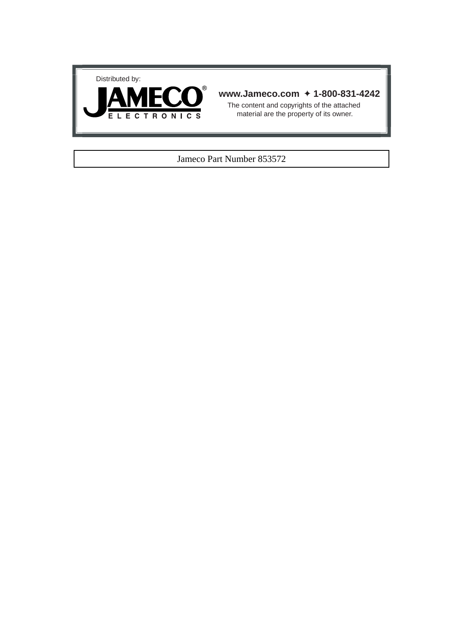



### **www.Jameco.com** ✦ **1-800-831-4242**

The content and copyrights of the attached material are the property of its owner.

### Jameco Part Number 853572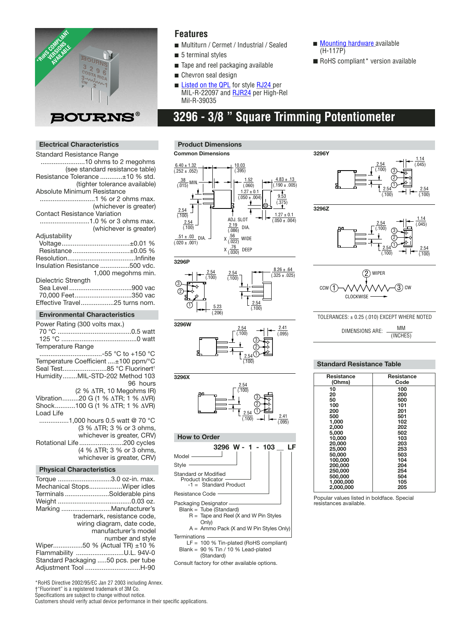

## **Features**

- Multiturn / Cermet / Industrial / Sealed
- 5 terminal styles
- Tape and reel packaging available
- Chevron seal design

**Product Dimensions**

■ [Listed on the QPL](http://www.bourns.com/pdfs/qualified_parts_numbers.pdf) for style [RJ24](http://www.bourns.com/pdfs/RJ24RJR24.pdf) per MIL-R-22097 and **RJR24** per High-Rel Mil-R-39035

#### ■ [Mounting hardware](http://www.bourns.com/pdfs/pnl_mnt.pdf) available (H-117P)

■ RoHS compliant\* version available

## **3296 - 3/8 " Square Trimming Potentiometer**

#### **Electrical Characteristics**

| Standard Resistance Range |                                                                   |
|---------------------------|-------------------------------------------------------------------|
|                           | 10 ohms to 2 megohms<br>(see standard resistance table)           |
|                           | Resistance Tolerance ±10 % std.                                   |
|                           | (tighter tolerance available)                                     |
|                           | Absolute Minimum Resistance                                       |
|                           |                                                                   |
|                           | (whichever is greater)                                            |
|                           | <b>Contact Resistance Variation</b>                               |
|                           | 1.0 % or 3 ohms max.                                              |
|                           | (whichever is greater)                                            |
| Adjustability             |                                                                   |
|                           | Resistance±0.05 %                                                 |
|                           |                                                                   |
|                           | Insulation Resistance 500 vdc.                                    |
|                           | 1,000 megohms min.                                                |
| Dielectric Strength       |                                                                   |
|                           |                                                                   |
|                           | 70,000 Feet350 vac                                                |
|                           | Effective Travel25 turns nom.                                     |
|                           |                                                                   |
|                           | <b>Environmental Characteristics</b>                              |
|                           | Power Rating (300 volts max.)                                     |
|                           |                                                                   |
|                           |                                                                   |
| Temperature Range         |                                                                   |
|                           |                                                                   |
|                           | Temperature Coefficient ±100 ppm/°C                               |
|                           | Seal Test85 °C Fluorinert <sup>+</sup>                            |
|                           | HumidityMIL-STD-202 Method 103<br>96 hours                        |
|                           |                                                                   |
|                           | (2 % ATR, 10 Megohms IR)<br>Vibration20 G (1 % ΔTR; 1 % ΔVR)      |
|                           | Shock100 G (1 % ∆TR; 1 % ∆VR)                                     |
| Load Life                 |                                                                   |
|                           | 1,000 hours 0.5 watt @ 70 °C                                      |
|                           | (3 % ∆TR; 3 % or 3 ohms,                                          |
|                           | whichever is greater, CRV)                                        |
|                           | Rotational Life200 cycles                                         |
|                           | (4 % $\triangle$ TR; 3 % or 3 ohms,<br>whichever is greater, CRV) |

#### **Physical Characteristics**

| Torque 3.0 oz-in. max.              |
|-------------------------------------|
| Mechanical StopsWiper idles         |
| TerminalsSolderable pins            |
|                                     |
| Marking Manufacturer's              |
| trademark, resistance code,         |
| wiring diagram, date code,          |
| manufacturer's model                |
| number and style                    |
| Wiper50 % (Actual TR) ±10 %         |
| Flammability U.L. 94V-0             |
| Standard Packaging 50 pcs. per tube |
| Adjustment Tool H-90                |
|                                     |

**Common Dimensions**  $6.40 \pm 1.32$ 10.03 (.395)  $(0.252 \pm 0.052)$  $4.83 \pm .13$ 1.52  $\frac{.38}{(.015)}$ MIN. (.060)  $(0.190 \pm 0.005)$  $1.27 \pm 0.1$ ۱  $(0.050 \pm 0.004)$ 9.53 (.375) J 2.54 ٦  $1.27 \pm 0.1$ (.100) ADJ. SLOT  $(0.050 \pm 0.004)$  $\frac{2.54}{(.100)}$  2.19 DIA.  $(0.086)$  .56 (.022) X WIDE .51 ± .03 DIA.  $(0.020 \pm 0.001)$ X <u>(.030)</u> DEEP **3296P**







#### **How to Order 3296 W - 1 - 103 \_\_ LF** Model -Style Standard or Modified Product Indicator -1 = Standard Product Resistance Code Packaging Designator Blank = Tube (Standard)

- $R =$  Tape and Reel (X and W Pin Styles Only) A = Ammo Pack (X and W Pin Styles Only)
- Terminations
- $LF = 100 %$  Tin-plated (RoHS compliant) Blank = 90 % Tin / 10 % Lead-plated (Standard)

Consult factory for other available options.







TOLERANCES: ± 0.25 (.010) EXCEPT WHERE NOTED

DIMENSIONS ARE:  $\frac{MM}{M}$ (INCHES)

#### **Standard Resistance Table**

| <b>Resistance</b> | Resistance |
|-------------------|------------|
| (Ohms)            | Code       |
| 10                | 100        |
| 20                | 200        |
| 50                | 500        |
| 100               | 101        |
| 200               | 201        |
| 500               | 501        |
| 1.000             | 102        |
| 2.000             | 202        |
| 5.000             | 502        |
| 10,000            | 103        |
| 20.000            | 203        |
| 25,000            | 253        |
| 50,000            | 503        |
| 100,000           | 104        |
| 200,000           | 204        |
| 250,000           | 254        |
| 500,000           | 504        |
| 1.000.000         | 105        |
| 2.000.000         | 205        |

Popular values listed in boldface. Special resistances available.

\*RoHS Directive 2002/95/EC Jan 27 2003 including Annex. †"Fluorinert" is a registered trademark of 3M Co. Specifications are subject to change without notice. Customers should verify actual device performance in their specific applications.